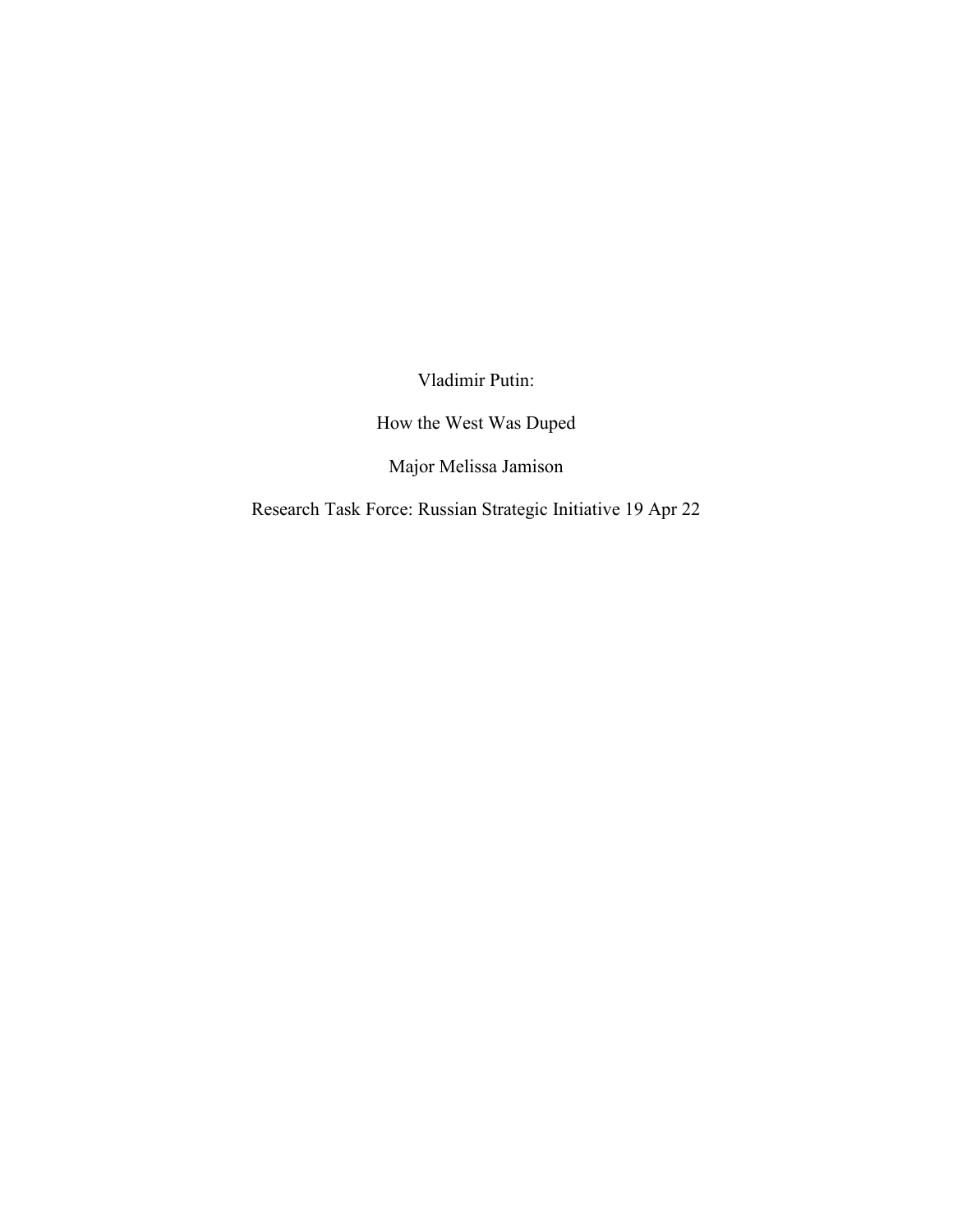Vladimir Putin:

How the West Was Duped

Major Melissa Jamison

Research Task Force: Russian Strategic Initiative 19 Apr 22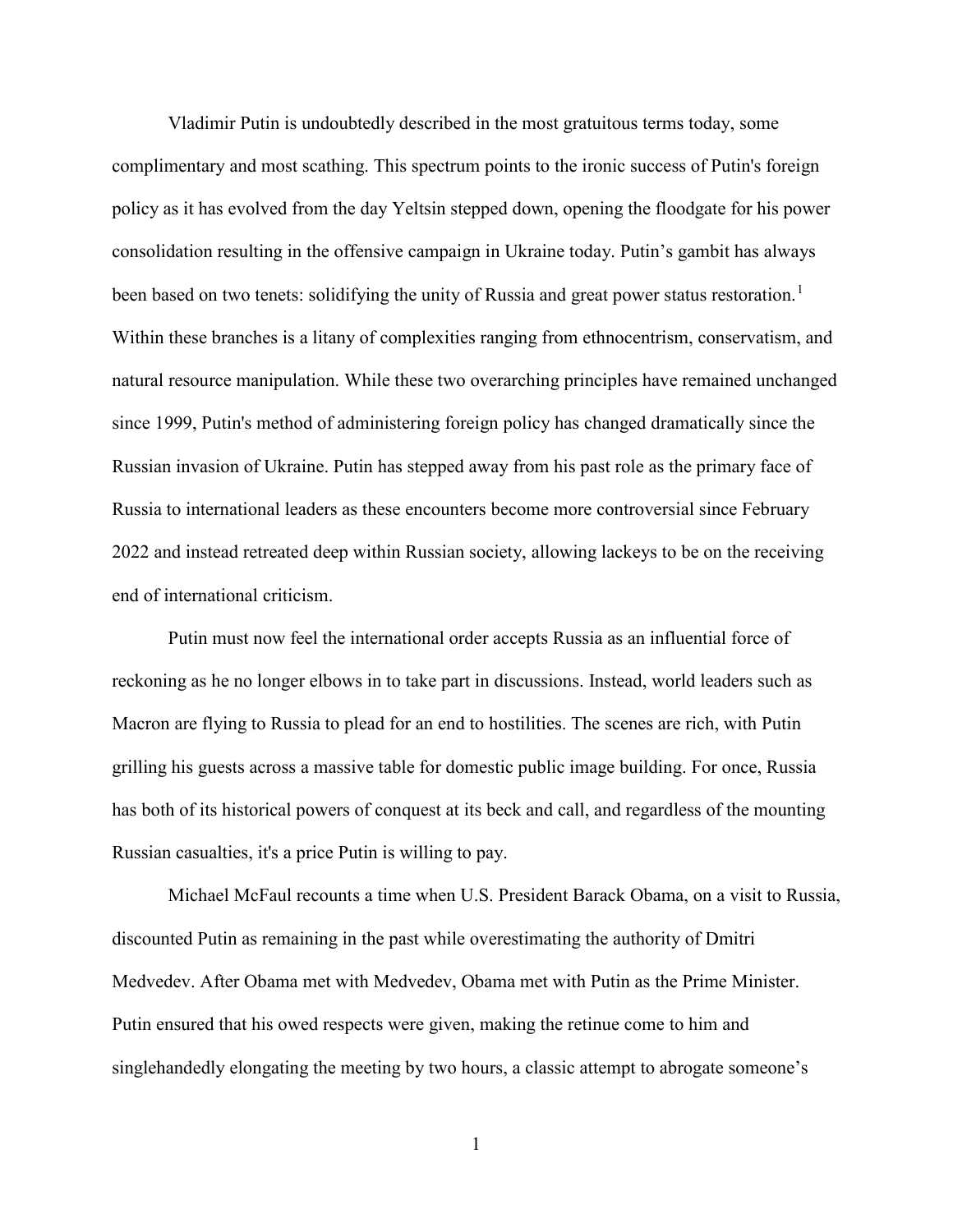Vladimir Putin is undoubtedly described in the most gratuitous terms today, some complimentary and most scathing. This spectrum points to the ironic success of Putin's foreign policy as it has evolved from the day Yeltsin stepped down, opening the floodgate for his power consolidation resulting in the offensive campaign in Ukraine today. Putin's gambit has always been based on two tenets: solidifying the unity of Russia and great power status restoration.<sup>[1](#page-3-0)</sup> Within these branches is a litany of complexities ranging from ethnocentrism, conservatism, and natural resource manipulation. While these two overarching principles have remained unchanged since 1999, Putin's method of administering foreign policy has changed dramatically since the Russian invasion of Ukraine. Putin has stepped away from his past role as the primary face of Russia to international leaders as these encounters become more controversial since February 2022 and instead retreated deep within Russian society, allowing lackeys to be on the receiving end of international criticism.

Putin must now feel the international order accepts Russia as an influential force of reckoning as he no longer elbows in to take part in discussions. Instead, world leaders such as Macron are flying to Russia to plead for an end to hostilities. The scenes are rich, with Putin grilling his guests across a massive table for domestic public image building. For once, Russia has both of its historical powers of conquest at its beck and call, and regardless of the mounting Russian casualties, it's a price Putin is willing to pay.

Michael McFaul recounts a time when U.S. President Barack Obama, on a visit to Russia, discounted Putin as remaining in the past while overestimating the authority of Dmitri Medvedev. After Obama met with Medvedev, Obama met with Putin as the Prime Minister. Putin ensured that his owed respects were given, making the retinue come to him and singlehandedly elongating the meeting by two hours, a classic attempt to abrogate someone's

1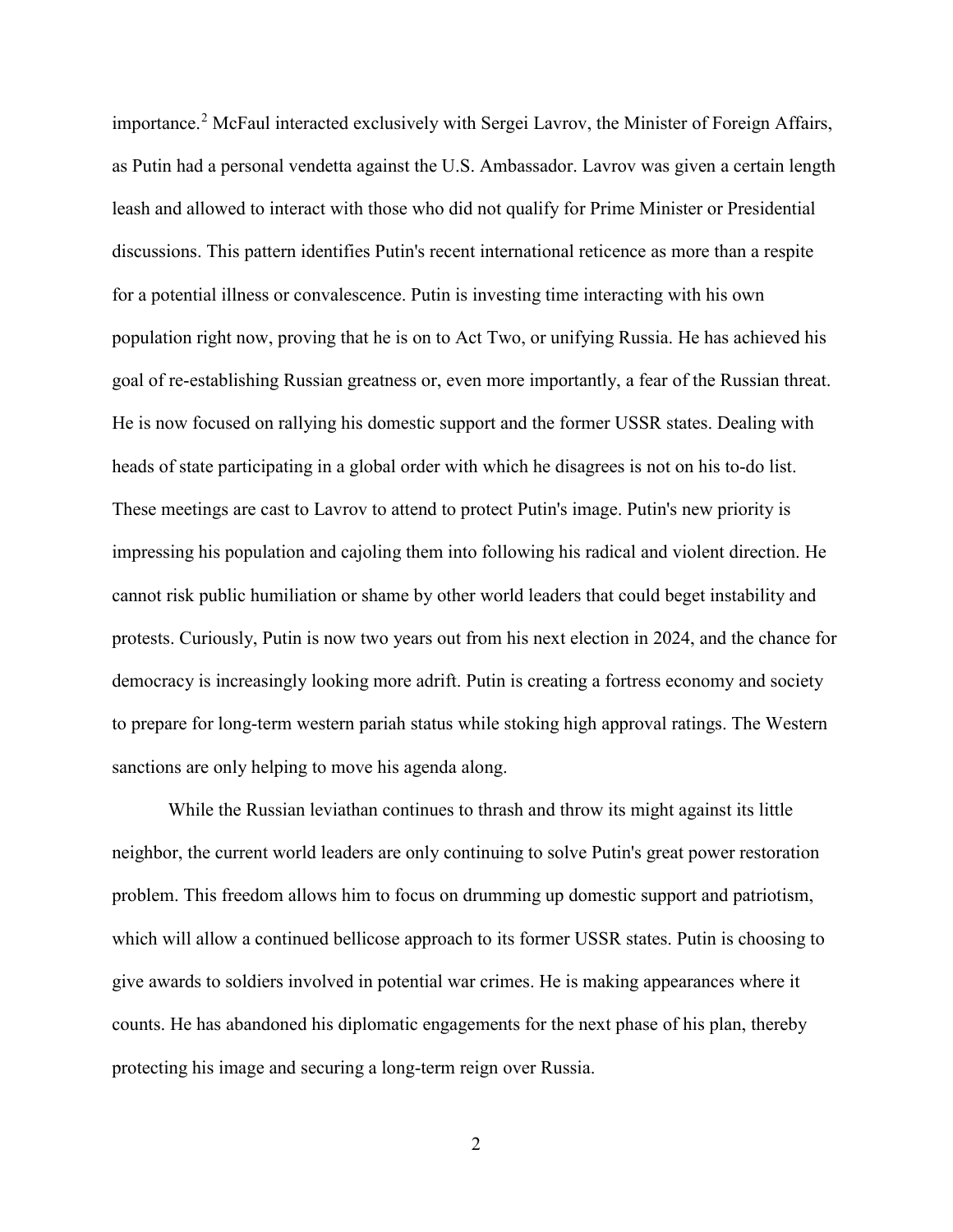importance.<sup>[2](#page-3-1)</sup> McFaul interacted exclusively with Sergei Lavrov, the Minister of Foreign Affairs, as Putin had a personal vendetta against the U.S. Ambassador. Lavrov was given a certain length leash and allowed to interact with those who did not qualify for Prime Minister or Presidential discussions. This pattern identifies Putin's recent international reticence as more than a respite for a potential illness or convalescence. Putin is investing time interacting with his own population right now, proving that he is on to Act Two, or unifying Russia. He has achieved his goal of re-establishing Russian greatness or, even more importantly, a fear of the Russian threat. He is now focused on rallying his domestic support and the former USSR states. Dealing with heads of state participating in a global order with which he disagrees is not on his to-do list. These meetings are cast to Lavrov to attend to protect Putin's image. Putin's new priority is impressing his population and cajoling them into following his radical and violent direction. He cannot risk public humiliation or shame by other world leaders that could beget instability and protests. Curiously, Putin is now two years out from his next election in 2024, and the chance for democracy is increasingly looking more adrift. Putin is creating a fortress economy and society to prepare for long-term western pariah status while stoking high approval ratings. The Western sanctions are only helping to move his agenda along.

While the Russian leviathan continues to thrash and throw its might against its little neighbor, the current world leaders are only continuing to solve Putin's great power restoration problem. This freedom allows him to focus on drumming up domestic support and patriotism, which will allow a continued bellicose approach to its former USSR states. Putin is choosing to give awards to soldiers involved in potential war crimes. He is making appearances where it counts. He has abandoned his diplomatic engagements for the next phase of his plan, thereby protecting his image and securing a long-term reign over Russia.

2